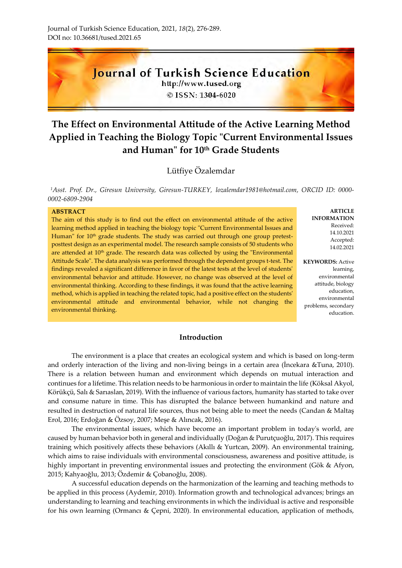

http://www.tused.org © ISSN: 1304-6020

# **The Effect on Environmental Attitude of the Active Learning Method Applied in Teaching the Biology Topic "Current Environmental Issues and Human" for 10th Grade Students**

## Lütfiye Özalemdar

*<sup>1</sup>Asst. Prof. Dr., Giresun University, Giresun-TURKEY, lozalemdar1981@hotmail.com, ORCID ID: 0000- 0002-6809-2904*

#### **ABSTRACT**

The aim of this study is to find out the effect on environmental attitude of the active learning method applied in teaching the biology topic "Current Environmental Issues and Human" for  $10<sup>th</sup>$  grade students. The study was carried out through one group pretestposttest design as an experimental model. The research sample consists of 50 students who are attended at 10<sup>th</sup> grade. The research data was collected by using the "Environmental Attitude Scale". The data analysis was performed through the dependent groups t-test. The findings revealed a significant difference in favor of the latest tests at the level of students' environmental behavior and attitude. However, no change was observed at the level of environmental thinking. According to these findings, it was found that the active learning method, which is applied in teaching the related topic, had a positive effect on the students' environmental attitude and environmental behavior, while not changing the environmental thinking.

**ARTICLE INFORMATION** Received: 14.10.2021 Accepted: 14.02.2021

**KEYWORDS:** Active learning, environmental attitude, biology education, environmental problems, secondary education.

## **Introduction**

The environment is a place that creates an ecological system and which is based on long-term and orderly interaction of the living and non-living beings in a certain area (İncekara &Tuna, 2010). There is a relation between human and environment which depends on mutual interaction and continues for a lifetime. This relation needs to be harmonious in order to maintain the life (Köksal Akyol, Körükçü, Salı & Sarıaslan, 2019). With the influence of various factors, humanity has started to take over and consume nature in time. This has disrupted the balance between humankind and nature and resulted in destruction of natural life sources, thus not being able to meet the needs (Candan & Maltaş Erol, 2016; Erdoğan & Özsoy, 2007; Meşe & Alıncak, 2016).

The environmental issues, which have become an important problem in today's world, are caused by human behavior both in general and individually (Doğan & Purutçuoğlu, 2017). This requires training which positively affects these behaviors (Akıllı & Yurtcan, 2009). An environmental training, which aims to raise individuals with environmental consciousness, awareness and positive attitude, is highly important in preventing environmental issues and protecting the environment (Gök & Afyon, 2015; Kahyaoğlu, 2013; Özdemir & Çobanoğlu, 2008).

A successful education depends on the harmonization of the learning and teaching methods to be applied in this process (Aydemir, 2010). Information growth and technological advances; brings an understanding to learning and teaching environments in which the individual is active and responsible for his own learning (Ormancı & Çepni, 2020). In environmental education, application of methods,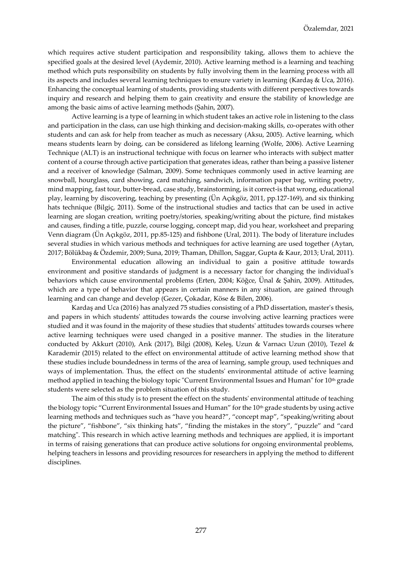which requires active student participation and responsibility taking, allows them to achieve the specified goals at the desired level (Aydemir, 2010). Active learning method is a learning and teaching method which puts responsibility on students by fully involving them in the learning process with all its aspects and includes several learning techniques to ensure variety in learning (Kardaş & Uca, 2016). Enhancing the conceptual learning of students, providing students with different perspectives towards inquiry and research and helping them to gain creativity and ensure the stability of knowledge are among the basic aims of active learning methods (Şahin, 2007).

Active learning is a type of learning in which student takes an active role in listening to the class and participation in the class, can use high thinking and decision-making skills, co-operates with other students and can ask for help from teacher as much as necessary (Aksu, 2005). Active learning, which means students learn by doing, can be considered as lifelong learning (Wolfe, 2006). Active Learning Technique (ALT) is an instructional technique with focus on learner who interacts with subject matter content of a course through active participation that generates ideas, rather than being a passive listener and a receiver of knowledge (Salman, 2009). Some techniques commonly used in active learning are snowball, hourglass, card showing, card matching, sandwich, information paper bag, writing poetry, mind mapping, fast tour, butter-bread, case study, brainstorming, is it correct-is that wrong, educational play, learning by discovering, teaching by presenting (Ün Açıkgöz, 2011, pp.127-169), and six thinking hats technique (Bilgiç, 2011). Some of the instructional studies and tactics that can be used in active learning are slogan creation, writing poetry/stories, speaking/writing about the picture, find mistakes and causes, finding a title, puzzle, course logging, concept map, did you hear, worksheet and preparing Venn diagram (Ün Açıkgöz, 2011, pp.85-125) and fishbone (Ural, 2011). The body of literature includes several studies in which various methods and techniques for active learning are used together (Aytan, 2017; Bölükbaş & Özdemir, 2009; Suna, 2019; Thaman, Dhillon, Saggar, Gupta & Kaur, 2013; Ural, 2011).

Environmental education allowing an individual to gain a positive attitude towards environment and positive standards of judgment is a necessary factor for changing the individual's behaviors which cause environmental problems (Erten, 2004; Köğce, Ünal & Şahin, 2009). Attitudes, which are a type of behavior that appears in certain manners in any situation, are gained through learning and can change and develop (Gezer, Çokadar, Köse & Bilen, 2006).

Kardaş and Uca (2016) has analyzed 75 studies consisting of a PhD dissertation, master's thesis, and papers in which students' attitudes towards the course involving active learning practices were studied and it was found in the majority of these studies that students' attitudes towards courses where active learning techniques were used changed in a positive manner. The studies in the literature conducted by Akkurt (2010), Arık (2017), Bilgi (2008), Keleş, Uzun & Varnacı Uzun (2010), Tezel & Karademir (2015) related to the effect on environmental attitude of active learning method show that these studies include boundedness in terms of the area of learning, sample group, used techniques and ways of implementation. Thus, the effect on the students' environmental attitude of active learning method applied in teaching the biology topic "Current Environmental Issues and Human" for 10<sup>th</sup> grade students were selected as the problem situation of this study.

The aim of this study is to present the effect on the students' environmental attitude of teaching the biology topic "Current Environmental Issues and Human" for the 10<sup>th</sup> grade students by using active learning methods and techniques such as "have you heard?", "concept map", "speaking/writing about the picture", "fishbone", "six thinking hats", "finding the mistakes in the story", "puzzle" and "card matching". This research in which active learning methods and techniques are applied, it is important in terms of raising generations that can produce active solutions for ongoing environmental problems, helping teachers in lessons and providing resources for researchers in applying the method to different disciplines.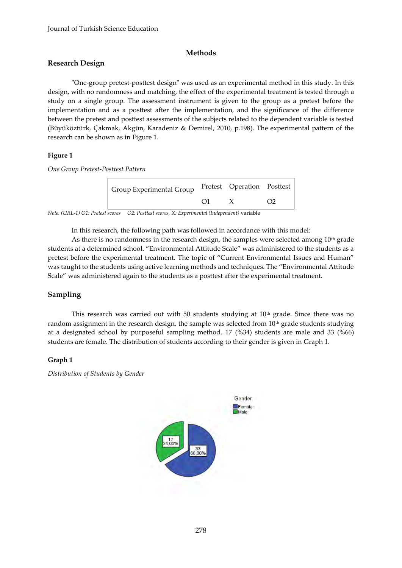## **Methods**

## **Research Design**

"One-group pretest-posttest design" was used as an experimental method in this study. In this design, with no randomness and matching, the effect of the experimental treatment is tested through a study on a single group. The assessment instrument is given to the group as a pretest before the implementation and as a posttest after the implementation, and the significance of the difference between the pretest and posttest assessments of the subjects related to the dependent variable is tested (Büyüköztürk, Çakmak, Akgün, Karadeniz & Demirel, 2010, p.198). The experimental pattern of the research can be shown as in Figure 1.

## **Figure 1**

*One Group Pretest-Posttest Pattern* 

| Group Experimental Group | Pretest Operation Posttest |  |
|--------------------------|----------------------------|--|
|                          |                            |  |

*Note. (URL-1) O1: Pretest scores O2: Posttest scores, X: Experimental (Independent)* variable

In this research, the following path was followed in accordance with this model:

As there is no randomness in the research design, the samples were selected among  $10<sup>th</sup>$  grade students at a determined school. "Environmental Attitude Scale" was administered to the students as a pretest before the experimental treatment. The topic of "Current Environmental Issues and Human" was taught to the students using active learning methods and techniques. The "Environmental Attitude Scale" was administered again to the students as a posttest after the experimental treatment.

## **Sampling**

This research was carried out with 50 students studying at  $10<sup>th</sup>$  grade. Since there was no random assignment in the research design, the sample was selected from  $10<sup>th</sup>$  grade students studying at a designated school by purposeful sampling method. 17 (%34) students are male and 33 (%66) students are female. The distribution of students according to their gender is given in Graph 1.

## **Graph 1**

*Distribution of Students by Gender*

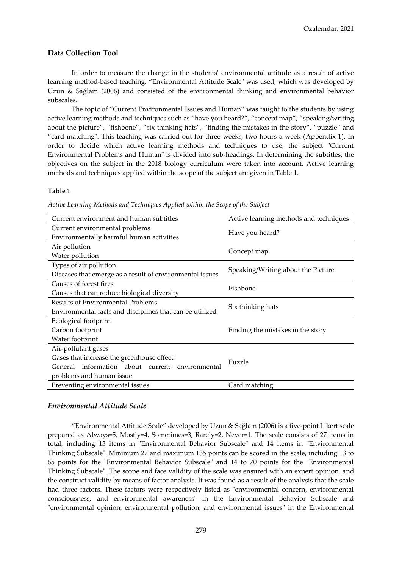#### **Data Collection Tool**

In order to measure the change in the students' environmental attitude as a result of active learning method-based teaching, "Environmental Attitude Scale" was used, which was developed by Uzun & Sağlam (2006) and consisted of the environmental thinking and environmental behavior subscales.

The topic of "Current Environmental Issues and Human" was taught to the students by using active learning methods and techniques such as "have you heard?", "concept map", "speaking/writing about the picture", "fishbone", "six thinking hats", "finding the mistakes in the story", "puzzle" and "card matching". This teaching was carried out for three weeks, two hours a week (Appendix 1). In order to decide which active learning methods and techniques to use, the subject "Current Environmental Problems and Human" is divided into sub-headings. In determining the subtitles; the objectives on the subject in the 2018 biology curriculum were taken into account. Active learning methods and techniques applied within the scope of the subject are given in Table 1.

#### **Table 1**

| Active Learning Methods and Techniques Applied within the Scope of the Subject |  |  |  |  |  |  |
|--------------------------------------------------------------------------------|--|--|--|--|--|--|
|--------------------------------------------------------------------------------|--|--|--|--|--|--|

| Current environment and human subtitles                  | Active learning methods and techniques |  |  |
|----------------------------------------------------------|----------------------------------------|--|--|
| Current environmental problems                           |                                        |  |  |
| Environmentally harmful human activities                 | Have you heard?                        |  |  |
| Air pollution                                            |                                        |  |  |
| Water pollution                                          | Concept map                            |  |  |
| Types of air pollution                                   |                                        |  |  |
| Diseases that emerge as a result of environmental issues | Speaking/Writing about the Picture     |  |  |
| Causes of forest fires                                   | Fishbone                               |  |  |
| Causes that can reduce biological diversity              |                                        |  |  |
| <b>Results of Environmental Problems</b>                 | Six thinking hats                      |  |  |
| Environmental facts and disciplines that can be utilized |                                        |  |  |
| Ecological footprint                                     |                                        |  |  |
| Carbon footprint                                         | Finding the mistakes in the story      |  |  |
| Water footprint                                          |                                        |  |  |
| Air-pollutant gases                                      |                                        |  |  |
| Gases that increase the greenhouse effect                | Puzzle                                 |  |  |
| General information about current environmental          |                                        |  |  |
| problems and human issue                                 |                                        |  |  |
| Preventing environmental issues                          | Card matching                          |  |  |

#### *Environmental Attitude Scale*

"Environmental Attitude Scale" developed by Uzun & Sağlam (2006) is a five-point Likert scale prepared as Always=5, Mostly=4, Sometimes=3, Rarely=2, Never=1. The scale consists of 27 items in total, including 13 items in "Environmental Behavior Subscale" and 14 items in "Environmental Thinking Subscale". Minimum 27 and maximum 135 points can be scored in the scale, including 13 to 65 points for the "Environmental Behavior Subscale" and 14 to 70 points for the "Environmental Thinking Subscale". The scope and face validity of the scale was ensured with an expert opinion, and the construct validity by means of factor analysis. It was found as a result of the analysis that the scale had three factors. These factors were respectively listed as "environmental concern, environmental consciousness, and environmental awareness" in the Environmental Behavior Subscale and "environmental opinion, environmental pollution, and environmental issues" in the Environmental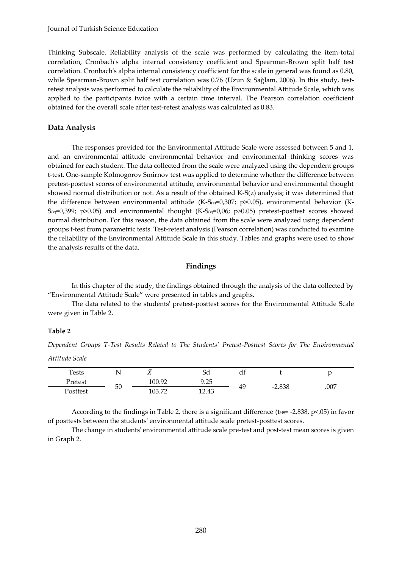Thinking Subscale. Reliability analysis of the scale was performed by calculating the item-total correlation, Cronbach's alpha internal consistency coefficient and Spearman-Brown split half test correlation. Cronbach's alpha internal consistency coefficient for the scale in general was found as 0.80, while Spearman-Brown split half test correlation was 0.76 (Uzun & Sağlam, 2006). In this study, testretest analysis was performed to calculate the reliability of the Environmental Attitude Scale, which was applied to the participants twice with a certain time interval. The Pearson correlation coefficient obtained for the overall scale after test-retest analysis was calculated as 0.83.

#### **Data Analysis**

The responses provided for the Environmental Attitude Scale were assessed between 5 and 1, and an environmental attitude environmental behavior and environmental thinking scores was obtained for each student. The data collected from the scale were analyzed using the dependent groups t-test. One-sample Kolmogorov Smirnov test was applied to determine whether the difference between pretest-posttest scores of environmental attitude, environmental behavior and environmental thought showed normal distribution or not. As a result of the obtained K-S(z) analysis; it was determined that the difference between environmental attitude (K-S $(z)=0.307$ ; p>0.05), environmental behavior (K- $S_{(2)}=0,399$ ; p $>0.05$ ) and environmental thought (K-S( $\alpha$ )=0,06; p $>0.05$ ) pretest-posttest scores showed normal distribution. For this reason, the data obtained from the scale were analyzed using dependent groups t-test from parametric tests. Test-retest analysis (Pearson correlation) was conducted to examine the reliability of the Environmental Attitude Scale in this study. Tables and graphs were used to show the analysis results of the data.

#### **Findings**

In this chapter of the study, the findings obtained through the analysis of the data collected by "Environmental Attitude Scale" were presented in tables and graphs.

The data related to the students' pretest-posttest scores for the Environmental Attitude Scale were given in Table 2.

#### **Table 2**

*Dependent Groups T-Test Results Related to The Students' Pretest-Posttest Scores for The Environmental Attitude Scale* 

| <b>Tests</b>    |    | ≂<br>$\overline{\phantom{a}}$ | ⌒<br>Sα      | uı |                                      |      |
|-----------------|----|-------------------------------|--------------|----|--------------------------------------|------|
| Pretest         |    | 100.92                        | 0.25<br>フェムコ |    |                                      | .007 |
| <b>Posttest</b> | 50 | 100<br>$\mathbf{H}$           | 12.43        | 49 | $-2.838$<br>$\overline{\phantom{0}}$ |      |

According to the findings in Table 2, there is a significant difference ( $t_{49}$ = -2.838, p<.05) in favor of posttests between the students' environmental attitude scale pretest-posttest scores.

The change in students' environmental attitude scale pre-test and post-test mean scores is given in Graph 2.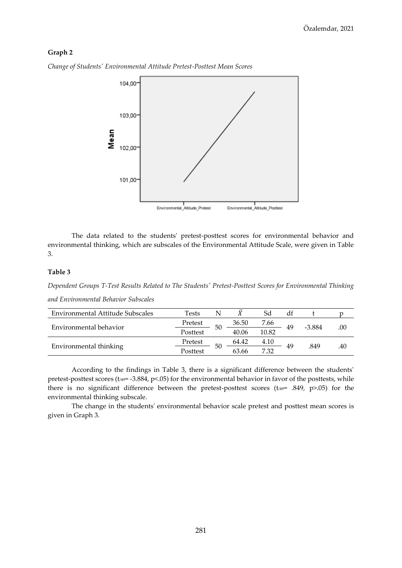#### **Graph 2**



*Change of Students' Environmental Attitude Pretest-Posttest Mean Scores*

The data related to the students' pretest-posttest scores for environmental behavior and environmental thinking, which are subscales of the Environmental Attitude Scale, were given in Table 3.

#### **Table 3**

*Dependent Groups T-Test Results Related to The Students' Pretest-Posttest Scores for Environmental Thinking* 

| Environmental Attitude Subscales | Tests    |    |       | Sd    | dt |          |     |
|----------------------------------|----------|----|-------|-------|----|----------|-----|
|                                  | Pretest  | 50 | 36.50 | 7.66  | 49 | $-3.884$ |     |
| Environmental behavior           | Posttest |    | 40.06 | 10.82 |    |          | .00 |
|                                  | Pretest  | 50 | 64.42 | 4.10  | 49 | .849     |     |
| Environmental thinking           | Posttest |    | 63.66 | 7.32  |    |          | .40 |

According to the findings in Table 3, there is a significant difference between the students' pretest-posttest scores ( $t_{/49}$ = -3.884, p<.05) for the environmental behavior in favor of the posttests, while there is no significant difference between the pretest-posttest scores ( $t_{49}$ = .849, p>.05) for the environmental thinking subscale.

The change in the students' environmental behavior scale pretest and posttest mean scores is given in Graph 3.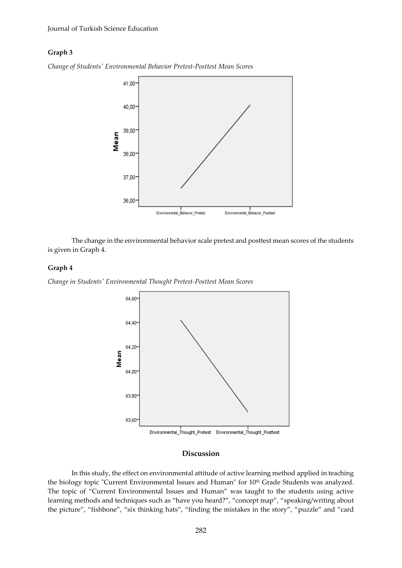#### **Graph 3**



*Change of Students' Environmental Behavior Pretest-Posttest Mean Scores*

The change in the environmental behavior scale pretest and posttest mean scores of the students is given in Graph 4.

#### **Graph 4**

*Change in Students' Environmental Thought Pretest-Posttest Mean Scores*



#### **Discussion**

In this study, the effect on environmental attitude of active learning method applied in teaching the biology topic "Current Environmental Issues and Human" for 10<sup>th</sup> Grade Students was analyzed. The topic of "Current Environmental Issues and Human" was taught to the students using active learning methods and techniques such as "have you heard?", "concept map", "speaking/writing about the picture", "fishbone", "six thinking hats", "finding the mistakes in the story", "puzzle" and "card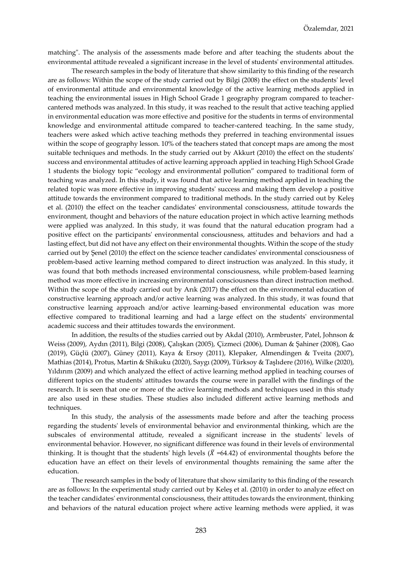matching". The analysis of the assessments made before and after teaching the students about the environmental attitude revealed a significant increase in the level of students' environmental attitudes.

The research samples in the body of literature that show similarity to this finding of the research are as follows: Within the scope of the study carried out by Bilgi (2008) the effect on the students' level of environmental attitude and environmental knowledge of the active learning methods applied in teaching the environmental issues in High School Grade 1 geography program compared to teachercantered methods was analyzed. In this study, it was reached to the result that active teaching applied in environmental education was more effective and positive for the students in terms of environmental knowledge and environmental attitude compared to teacher-cantered teaching. In the same study, teachers were asked which active teaching methods they preferred in teaching environmental issues within the scope of geography lesson. 10% of the teachers stated that concept maps are among the most suitable techniques and methods. In the study carried out by Akkurt (2010) the effect on the students' success and environmental attitudes of active learning approach applied in teaching High School Grade 1 students the biology topic "ecology and environmental pollution" compared to traditional form of teaching was analyzed. In this study, it was found that active learning method applied in teaching the related topic was more effective in improving students' success and making them develop a positive attitude towards the environment compared to traditional methods. In the study carried out by Keleş et al. (2010) the effect on the teacher candidates' environmental consciousness, attitude towards the environment, thought and behaviors of the nature education project in which active learning methods were applied was analyzed. In this study, it was found that the natural education program had a positive effect on the participants' environmental consciousness, attitudes and behaviors and had a lasting effect, but did not have any effect on their environmental thoughts. Within the scope of the study carried out by Şenel (2010) the effect on the science teacher candidates' environmental consciousness of problem-based active learning method compared to direct instruction was analyzed. In this study, it was found that both methods increased environmental consciousness, while problem-based learning method was more effective in increasing environmental consciousness than direct instruction method. Within the scope of the study carried out by Arık (2017) the effect on the environmental education of constructive learning approach and/or active learning was analyzed. In this study, it was found that constructive learning approach and/or active learning-based environmental education was more effective compared to traditional learning and had a large effect on the students' environmental academic success and their attitudes towards the environment.

In addition, the results of the studies carried out by Akdal (2010), Armbruster, Patel, Johnson & Weiss (2009), Aydın (2011), Bilgi (2008), Çalışkan (2005), Çizmeci (2006), Duman & Şahiner (2008), Gao (2019), Güçlü (2007), Güney (2011), Kaya & Ersoy (2011), Klepaker, Almendingen & Tveita (2007), Mathias (2014), Protus, Martin & Shikuku (2020), Saygı (2009), Türksoy & Taşlıdere (2016), Wilke (2020), Yıldırım (2009) and which analyzed the effect of active learning method applied in teaching courses of different topics on the students' attitudes towards the course were in parallel with the findings of the research. It is seen that one or more of the active learning methods and techniques used in this study are also used in these studies. These studies also included different active learning methods and techniques.

In this study, the analysis of the assessments made before and after the teaching process regarding the students' levels of environmental behavior and environmental thinking, which are the subscales of environmental attitude, revealed a significant increase in the students' levels of environmental behavior. However, no significant difference was found in their levels of environmental thinking. It is thought that the students' high levels ( $\overline{X}$  =64.42) of environmental thoughts before the education have an effect on their levels of environmental thoughts remaining the same after the education.

The research samples in the body of literature that show similarity to this finding of the research are as follows: In the experimental study carried out by Keleş et al. (2010) in order to analyze effect on the teacher candidates' environmental consciousness, their attitudes towards the environment, thinking and behaviors of the natural education project where active learning methods were applied, it was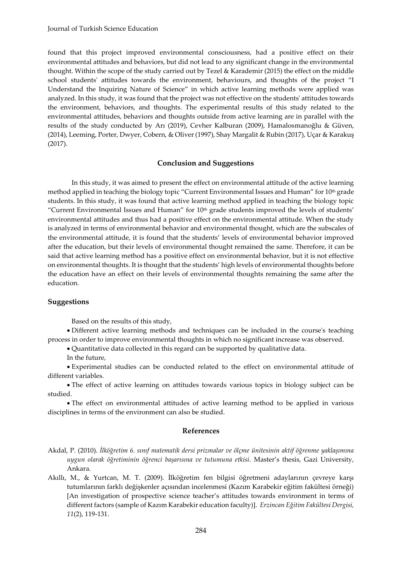found that this project improved environmental consciousness, had a positive effect on their environmental attitudes and behaviors, but did not lead to any significant change in the environmental thought. Within the scope of the study carried out by Tezel & Karademir (2015) the effect on the middle school students' attitudes towards the environment, behaviours, and thoughts of the project "I Understand the Inquiring Nature of Science" in which active learning methods were applied was analyzed. In this study, it was found that the project was not effective on the students' attitudes towards the environment, behaviors, and thoughts. The experimental results of this study related to the environmental attitudes, behaviors and thoughts outside from active learning are in parallel with the results of the study conducted by Arı (2019), Cevher Kalburan (2009), Hamalosmanoğlu & Güven, (2014), Leeming, Porter, Dwyer, Cobern, & Oliver (1997), Shay Margalit & Rubin (2017), Uçar & Karakuş (2017).

#### **Conclusion and Suggestions**

In this study, it was aimed to present the effect on environmental attitude of the active learning method applied in teaching the biology topic "Current Environmental Issues and Human" for 10<sup>th</sup> grade students. In this study, it was found that active learning method applied in teaching the biology topic "Current Environmental Issues and Human" for  $10<sup>th</sup>$  grade students improved the levels of students' environmental attitudes and thus had a positive effect on the environmental attitude. When the study is analyzed in terms of environmental behavior and environmental thought, which are the subscales of the environmental attitude, it is found that the students' levels of environmental behavior improved after the education, but their levels of environmental thought remained the same. Therefore, it can be said that active learning method has a positive effect on environmental behavior, but it is not effective on environmental thoughts. It is thought that the students' high levels of environmental thoughts before the education have an effect on their levels of environmental thoughts remaining the same after the education.

#### **Suggestions**

Based on the results of this study,

 Different active learning methods and techniques can be included in the course's teaching process in order to improve environmental thoughts in which no significant increase was observed.

Quantitative data collected in this regard can be supported by qualitative data.

In the future,

 Experimental studies can be conducted related to the effect on environmental attitude of different variables.

 The effect of active learning on attitudes towards various topics in biology subject can be studied.

 The effect on environmental attitudes of active learning method to be applied in various disciplines in terms of the environment can also be studied.

#### **References**

- Akdal, P. (2010). *İlköğretim 6. sınıf matematik dersi prizmalar ve ölçme ünitesinin aktif öğrenme yaklaşımına uygun olarak öğretiminin öğrenci başarısına ve tutumuna etkisi*. Master's thesis, Gazi University, Ankara.
- Akıllı, M., & Yurtcan, M. T. (2009). İlköğretim fen bilgisi öğretmeni adaylarının çevreye karşı tutumlarının farklı değişkenler açısından incelenmesi (Kazım Karabekir eğitim fakültesi örneği) [An investigation of prospective science teacher's attitudes towards environment in terms of different factors (sample of Kazım Karabekir education faculty)].*Erzincan Eğitim Fakültesi Dergisi, 11*(2), 119-131.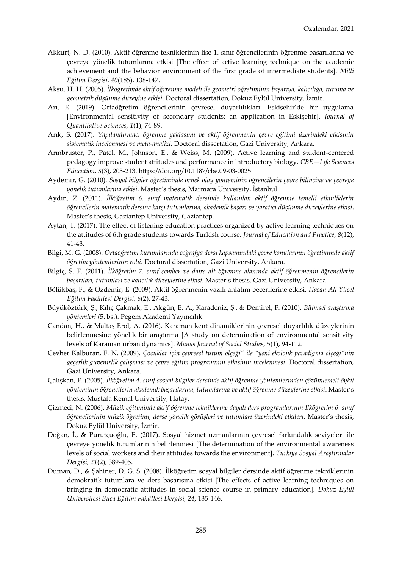- Akkurt, N. D. (2010). Aktif öğrenme tekniklerinin lise 1. sınıf öğrencilerinin öğrenme başarılarına ve çevreye yönelik tutumlarına etkisi [The effect of active learning technique on the academic achievement and the behavior environment of the first grade of intermediate students]. *Milli Eğitim Dergisi, 40*(185), 138-147.
- Aksu, H. H. (2005). *İlköğretimde aktif öğrrenme modeli ile geometri öğretiminin başarıya, kalıcılığa, tutuma ve geometrik düşünme düzeyine etkisi*. Doctoral dissertation, Dokuz Eylül University, İzmir.
- Arı, E. (2019). Ortaöğretim öğrencilerinin çevresel duyarlılıkları: Eskişehir'de bir uygulama [Environmental sensitivity of secondary students: an application in Eskişehir]. *Journal of Quantitative Sciences, 1*(1), 74-89.
- Arık, S. (2017). *Yapılandırmacı öğrenme yaklaşımı ve aktif öğrenmenin çevre eğitimi üzerindeki etkisinin sistematik incelenmesi ve meta-analizi*. Doctoral dissertation, Gazi University, Ankara.
- Armbruster, P., Patel, M., Johnson, E., & Weiss, M. (2009). Active learning and student-centered pedagogy improve student attitudes and performance in introductory biology. *CBE—Life Sciences Education*, *8*(3), 203-213[. https://doi.org/10.1187/cbe.09-03-0025](https://doi.org/10.1187/cbe.09-03-0025)
- Aydemir, G. (2010). *Sosyal bilgiler öğretiminde örnek olay yönteminin öğrencilerin çevre bilincine ve çevreye yönelik tutumlarına etkisi*. Master's thesis, Marmara University, İstanbul.
- Aydın, Z. (2011). *İlköğretim 6. sınıf matematik dersinde kullanılan aktif öğrenme temelli etkinliklerin öğrencilerin matematik dersine karşı tutumlarına, akademik başarı ve yaratıcı düşünme düzeylerine etkisi***.**  Master's thesis, Gaziantep University, Gaziantep.
- Aytan, T. (2017). The effect of listening education practices organized by active learning techniques on the attitudes of 6th grade students towards Turkish course. *Journal of Education and Practice*, *8*(12), 41-48.
- Bilgi, M. G. (2008). *Ortaöğretim kurumlarında coğrafya dersi kapsamındaki çevre konularının öğretiminde aktif öğretim yöntemlerinin rolü.* Doctoral dissertation, Gazi University, Ankara.
- Bilgiç, S. F. (2011). *İlköğretim 7. sınıf çember ve daire alt öğrenme alanında aktif öğrenmenin öğrencilerin başarıları, tutumları ve kalıcılık düzeylerine etkisi.* Master's thesis, Gazi University, Ankara.
- Bölükbaş, F., & Özdemir, E. (2009). Aktif öğrenmenin yazılı anlatım becerilerine etkisi. *Hasan Ali Yücel Eğitim Fakültesi Dergisi, 6*(2), 27-43.
- Büyüköztürk, Ş., Kılıç Çakmak, E., Akgün, E. A., Karadeniz, Ş., & Demirel, F. (2010). *Bilimsel araştırma yöntemleri* (5. bs.). Pegem Akademi Yayıncılık.
- Candan, H., & Maltaş Erol, A. (2016). Karaman kent dinamiklerinin çevresel duyarlılık düzeylerinin belirlenmesine yönelik bir araştırma [A study on determination of environmental sensitivity levels of Karaman urban dynamics]. *Manas Journal of Social Studies, 5*(1), 94-112.
- Cevher Kalburan, F. N. (2009). *Çocuklar için çevresel tutum ölçeği" ile "yeni ekolojik paradigma ölçeği"nin geçerlik güvenirlik çalışması ve çevre eğitim programının etkisinin incelenmesi*. Doctoral dissertation, Gazi University, Ankara.
- Çalışkan, F. (2005). *İlköğretim 4. sınıf sosyal bilgiler dersinde aktif öğrenme yöntemlerinden çözümlemeli öykü yönteminin öğrencilerin akademik başarılarına, tutumlarına ve aktif öğrenme düzeylerine etkisi*. Master's thesis, Mustafa Kemal University, Hatay.
- Çizmeci, N. (2006). *Müzik eğitiminde aktif öğrenme tekniklerine dayalı ders programlarının İlköğretim 6. sınıf öğrencilerinin müzik öğretimi, derse yönelik görüşleri ve tutumları üzerindeki etkileri*. Master's thesis, Dokuz Eylül University, İzmir.
- Doğan, İ., & Purutçuoğlu, E. (2017). Sosyal hizmet uzmanlarının çevresel farkındalık seviyeleri ile çevreye yönelik tutumlarının belirlenmesi [The determination of the environmental awareness levels of social workers and their attitudes towards the environment]. *Türkiye Sosyal Araştırmalar Dergisi, 21*(2), 389-405.
- Duman, D., & Şahiner, D. G. S. (2008). İlköğretim sosyal bilgiler dersinde aktif öğrenme tekniklerinin demokratik tutumlara ve ders başarısına etkisi [The effects of active learning techniques on bringing in democratic attitudes in social science course in primary education]. *Dokuz Eylül Üniversitesi Buca Eğitim Fakültesi Dergisi, 24*, 135-146.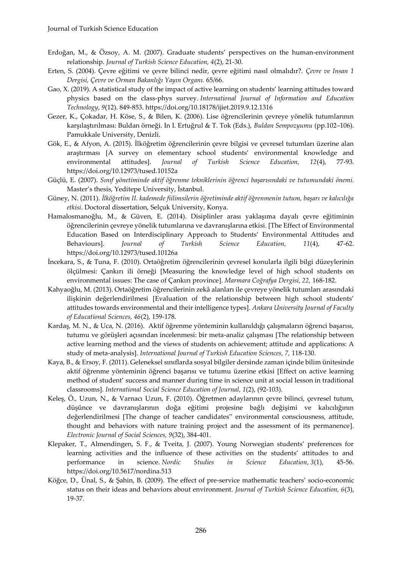- Erdoğan, M., & Özsoy, A. M. (2007). Graduate students' perspectives on the human-environment relationship. *Journal of Turkish Science Education, 4*(2), 21-30.
- Erten, S. (2004). Çevre eğitimi ve çevre bilinci nedir, çevre eğitimi nasıl olmalıdır?. *Çevre ve Insan 1 Dergisi, Çevre ve Orman Bakanlığı Yayın Organı.* 65/66.
- Gao, X. (2019). A statistical study of the impact of active learning on students' learning attitudes toward physics based on the class-phys survey. *International Journal of Information and Education Technology*, *9*(12). 849-853. https://doi.org/10.18178/ijiet.2019.9.12.1316
- Gezer, K., Çokadar, H. Köse, S., & Bilen, K. (2006). Lise öğrencilerinin çevreye yönelik tutumlarının karşılaştırılması: Buldan örneği. In I. Ertuğrul & T. Tok (Eds.), *Buldan Sempozyumu* (pp.102–106). Pamukkale University, Denizli.
- Gök, E., & Afyon, A. (2015). İlköğretim öğrencilerinin çevre bilgisi ve çevresel tutumları üzerine alan araştırması [A survey on elementary school students' environmental knowledge and environmental attitudes]. *Journal of Turkish Science Education, 12*(4), 77-93. https://doi.org/10.12973/tused.10152a
- Güçlü, E. (2007). *Sınıf yönetiminde aktif öğrenme tekniklerinin öğrenci başarısındaki ve tutumundaki önemi.* Master's thesis, Yeditepe University, İstanbul.
- Güney, N. (2011). *İlköğretim II. kademede fiilimsilerin öğretiminde aktif öğrenmenin tutum, başarı ve kalıcılığa etkisi*. Doctoral dissertation, Selçuk University, Konya.
- Hamalosmanoğlu, M., & Güven, E. (2014). Disiplinler arası yaklaşıma dayalı çevre eğitiminin öğrencilerinin çevreye yönelik tutumlarına ve davranışlarına etkisi*.* [The Effect of Environmental Education Based on Interdisciplinary Approach to Students' Environmental Attitudes and Behaviours]. *Journal of Turkish Science Education, 11*(4), 47-62. https://doi.org/10.12973/tused.10126a
- İncekara, S., & Tuna, F. (2010). Ortaöğretim öğrencilerinin çevresel konularla ilgili bilgi düzeylerinin ölçülmesi: Çankırı ili örneği [Measuring the knowledge level of high school students on environmental issues: The case of Çankırı province]. *Marmara Coğrafya Dergisi, 22,* 168-182.
- Kahyaoğlu, M. (2013). Ortaöğretim öğrencilerinin zekâ alanları ile çevreye yönelik tutumları arasındaki ilişkinin değerlendirilmesi [Evaluation of the relationship between high school students' attitudes towards environmental and their intelligence types]. *Ankara University Journal of Faculty of Educational Sciences, 46*(2), 159-178.
- Kardaş, M. N., & Uca, N. (2016). Aktif öğrenme yönteminin kullanıldığı çalışmaların öğrenci başarısı, tutumu ve görüşleri açısından incelenmesi: bir meta-analiz çalışması [The relationship between active learning method and the views of students on achievement; attitude and applications: A study of meta-analysis]. *International Journal of Turkish Education Sciences, 7,* 118-130.
- Kaya, B., & Ersoy, F. (2011). Geleneksel sınıflarda sosyal bilgiler dersinde zaman içinde bilim ünitesinde aktif öğrenme yönteminin öğrenci başarısı ve tutumu üzerine etkisi [Effect on active learning method of student' success and manner during time in science unit at social lesson in traditional classrooms]. *International Social Science Education of Journal, 1*(2), (92-103).
- Keleş, Ö., Uzun, N., & Varnacı Uzun, F. (2010). Öğretmen adaylarının çevre bilinci, çevresel tutum, düşünce ve davranışlarının doğa eğitimi projesine bağlı değişimi ve kalıcılığının değerlendirilmesi [The change of teacher candidates" environmental consciousness, attitude, thought and behaviors with nature training project and the assessment of its permanence]. *Electronic Journal of Social Sciences, 9*(32), 384-401.
- Klepaker, T., Almendingen, S. F., & Tveita, J. (2007). Young Norwegian students' preferences for learning activities and the influence of these activities on the students' attitudes to and performance in science. *Nordic Studies in Science Education*, *3*(1), 45-56. <https://doi.org/10.5617/nordina.513>
- Köğce, D., Ünal, S., & Şahin, B. (2009). The effect of pre-service mathematic teachers' socio-economic status on their ideas and behaviors about environment. *Journal of Turkish Science Education, 6*(3), 19-37.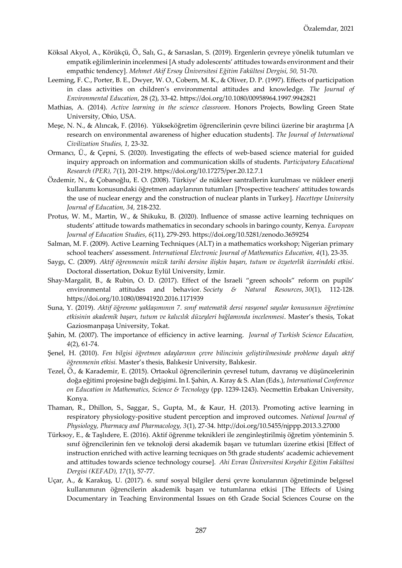- Köksal Akyol, A., Körükçü, Ö., Salı, G., & Sarıaslan, S. (2019). Ergenlerin çevreye yönelik tutumları ve empatik eğilimlerinin incelenmesi [A study adolescents' attitudes towards environment and their empathic tendency]. *Mehmet Akif Ersoy Üniversitesi Eğitim Fakültesi Dergisi, 50, 51-70*.
- Leeming, F. C., Porter, B. E., Dwyer, W. O., Cobern, M. K., & Oliver, D. P. (1997). Effects of participation in class activities on children's environmental attitudes and knowledge. *The Journal of Environmental Education*, 28 (2), 33-42[. https://doi.org/10.1080/00958964.1997.9942821](https://doi.org/10.1080/00958964.1997.9942821)
- Mathias, A. (2014). *Active learning in the science classroom*. Honors Projects, Bowling Green State University, Ohio, USA.
- Meşe, N. N., & Alıncak, F. (2016). Yükseköğretim öğrencilerinin çevre bilinci üzerine bir araştırma [A research on environmental awareness of higher education students]. *The Journal of International Civilization Studies, 1,* 23-32.
- Ormancı, Ü., & Çepni, S. (2020). Investigating the effects of web-based science material for guided inquiry approach on information and communication skills of students. *Participatory Educational Research (PER), 7*(1), 201-219.<https://doi.org/10.17275/per.20.12.7.1>
- Özdemir, N., & Çobanoğlu, E. O. (2008). Türkiye' de nükleer santrallerin kurulması ve nükleer enerji kullanımı konusundaki öğretmen adaylarının tutumları [Prospective teachers' attitudes towards the use of nuclear energy and the construction of nuclear plants in Turkey]. *Hacettepe University Journal of Education, 34,* 218-232.
- Protus, W. M., Martin, W., & Shikuku, B. (2020). Influence of smasse active learning techniques on students' attitude towards mathematics in secondary schools in baringo county, Kenya. *European Journal of Education Studies*, *6*(11), 279-293.<https://doi.org/10.5281/zenodo.3659254>
- Salman, M. F. (2009). Active Learning Techniques (ALT) in a mathematics workshop; Nigerian primary school teachers' assessment. *International Electronic Journal of Mathematics Education, 4*(1), 23-35.
- Saygı, C. (2009). *Aktif öğrenmenin müzik tarihi dersine ilişkin başarı, tutum ve özyeterlik üzerindeki etkisi*. Doctoral dissertation, Dokuz Eylül University, İzmir.
- Shay-Margalit, B., & Rubin, O. D. (2017). Effect of the Israeli "green schools" reform on pupils' environmental attitudes and behavior. *Society & Natural Resources*, *30*(1), 112-128. <https://doi.org/10.1080/08941920.2016.1171939>
- Suna, Y. (2019). *Aktif öğrenme yaklaşımının 7. sınıf matematik dersi rasyonel sayılar konusunun öğretimine etkisinin akademik başarı, tutum ve kalıcılık düzeyleri bağlamında incelenmesi*. Master's thesis, Tokat Gaziosmanpaşa University, Tokat.
- Şahin, M. (2007). The importance of efficiency in active learning. *Journal of Turkish Science Education, 4*(2), 61-74.
- Şenel, H. (2010). *Fen bilgisi öğretmen adaylarının çevre bilincinin geliştirilmesinde probleme dayalı aktif öğrenmenin etkisi.* Master's thesis, Balıkesir University, Balıkesir.
- Tezel, Ö., & Karademir, E. (2015). Ortaokul öğrencilerinin çevresel tutum, davranış ve düşüncelerinin doğa eğitimi projesine bağlı değişimi. In I. Şahin, A. Kıray & S. Alan (Eds.), *International Conference on Education in Mathematics, Science & Tecnology* (pp. 1239-1243). Necmettin Erbakan University, Konya.
- Thaman, R., Dhillon, S., Saggar, S., Gupta, M., & Kaur, H. (2013). Promoting active learning in respiratory physiology-positive student perception and improved outcomes. *National Journal of Physiology, Pharmacy and Pharmacology, 3*(1), 27-34[. http://doi.org/10.5455/njppp.2013.3.27000](http://doi.org/10.5455/njppp.2013.3.27000)
- Türksoy, E., & Taşlıdere, E. (2016). Aktif öğrenme teknikleri ile zenginleştirilmiş öğretim yönteminin 5. sınıf öğrencilerinin fen ve teknoloji dersi akademik başarı ve tutumları üzerine etkisi [Effect of instruction enriched with active learning tecniques on 5th grade students' academic achievement and attitudes towards science technology course]. *Ahi Evran Üniversitesi Kırşehir Eğitim Fakültesi Dergisi (KEFAD), 17*(1), 57-77.
- Uçar, A., & Karakuş, U. (2017). 6. sınıf sosyal bilgiler dersi çevre konularının öğretiminde belgesel kullanımının öğrencilerin akademik başarı ve tutumlarına etkisi [The Effects of Using Documentary in Teaching Environmental Issues on 6th Grade Social Sciences Course on the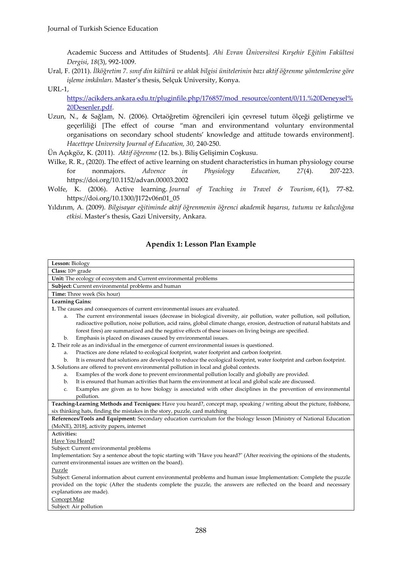Academic Success and Attitudes of Students]. *Ahi Evran Üniversitesi Kırşehir Eğitim Fakültesi Dergisi*, *18*(3), 992-1009.

Ural, F. (2011). *İlköğretim 7. sınıf din kültürü ve ahlak bilgisi ünitelerinin bazı aktif öğrenme yöntemlerine göre işleme imkânları.* Master's thesis, Selçuk University, Konya.

URL-1,

[https://acikders.ankara.edu.tr/pluginfile.php/176857/mod\\_resource/content/0/11.%20Deneysel%](https://acikders.ankara.edu.tr/pluginfile.php/176857/mod_resource/content/0/11.%20Deneysel%20Desenler.pdf) [20Desenler.pdf.](https://acikders.ankara.edu.tr/pluginfile.php/176857/mod_resource/content/0/11.%20Deneysel%20Desenler.pdf)

Uzun, N., & Sağlam, N. (2006). Ortaöğretim öğrencileri için çevresel tutum ölçeği geliştirme ve geçerliliği [The effect of course "man and environmentand voluntary environmental organisations on secondary school students' knowledge and attitude towards environment]. *Hacettepe University Journal of Education, 30,* 240-250.

Ün Açıkgöz, K. (2011). *Aktif öğrenme* (12. bs.). Biliş Gelişimin Coşkusu.

- Wilke, R. R., (2020). The effect of active learning on student characteristics in human physiology course for nonmajors. *Advence in Physiology Education, 27*(4). 207-223. <https://doi.org/10.1152/advan.00003.2002>
- Wolfe, K. (2006). Active learning. *Journal of Teaching in Travel & Tourism*, *6*(1), 77-82. [https://doi.org/10.1300/J172v06n01\\_05](https://doi.org/10.1300/J172v06n01_05)
- Yıldırım, A. (2009). *Bilgisayar eğitiminde aktif öğrenmenin öğrenci akademik başarısı, tutumu ve kalıcılığına etkisi*. Master's thesis, Gazi University, Ankara.

## **Apendix 1: Lesson Plan Example**

| Lesson: Biology                                                                                                                                                                                       |  |  |  |  |  |
|-------------------------------------------------------------------------------------------------------------------------------------------------------------------------------------------------------|--|--|--|--|--|
| Class: 10th grade                                                                                                                                                                                     |  |  |  |  |  |
| Unit: The ecology of ecosystem and Current environmental problems                                                                                                                                     |  |  |  |  |  |
| Subject: Current environmental problems and human                                                                                                                                                     |  |  |  |  |  |
| Time: Three week (Six hour)                                                                                                                                                                           |  |  |  |  |  |
| <b>Learning Gains:</b>                                                                                                                                                                                |  |  |  |  |  |
| 1. The causes and consequences of current environmental issues are evaluated.                                                                                                                         |  |  |  |  |  |
| The current environmental issues (decrease in biological diversity, air pollution, water pollution, soil pollution,<br>a.                                                                             |  |  |  |  |  |
| radioactive pollution, noise pollution, acid rains, global climate change, erosion, destruction of natural habitats and                                                                               |  |  |  |  |  |
| forest fires) are summarized and the negative effects of these issues on living beings are specified.                                                                                                 |  |  |  |  |  |
| Emphasis is placed on diseases caused by environmental issues.<br>b.                                                                                                                                  |  |  |  |  |  |
| 2. Their role as an individual in the emergence of current environmental issues is questioned.                                                                                                        |  |  |  |  |  |
| Practices are done related to ecological footprint, water footprint and carbon footprint.<br>a.                                                                                                       |  |  |  |  |  |
| It is ensured that solutions are developed to reduce the ecological footprint, water footprint and carbon footprint.<br>$\mathbf{b}$ .                                                                |  |  |  |  |  |
| 3. Solutions are offered to prevent environmental pollution in local and global contexts.                                                                                                             |  |  |  |  |  |
| Examples of the work done to prevent environmental pollution locally and globally are provided.<br>a.                                                                                                 |  |  |  |  |  |
| It is ensured that human activities that harm the environment at local and global scale are discussed.<br>b.                                                                                          |  |  |  |  |  |
| Examples are given as to how biology is associated with other disciplines in the prevention of environmental<br>c.                                                                                    |  |  |  |  |  |
| pollution.                                                                                                                                                                                            |  |  |  |  |  |
| Teaching-Learning Methods and Tecniques: Have you heard?, concept map, speaking / writing about the picture, fishbone,<br>six thinking hats, finding the mistakes in the story, puzzle, card matching |  |  |  |  |  |
| References/Tools and Equipment: Secondary education curriculum for the biology lesson [Ministry of National Education                                                                                 |  |  |  |  |  |
| (MoNE), 2018], activity papers, internet                                                                                                                                                              |  |  |  |  |  |
| Activities:                                                                                                                                                                                           |  |  |  |  |  |
| Have You Heard?                                                                                                                                                                                       |  |  |  |  |  |
| Subject: Current environmental problems                                                                                                                                                               |  |  |  |  |  |
| Implementation: Say a sentence about the topic starting with "Have you heard?" (After receiving the opinions of the students,                                                                         |  |  |  |  |  |
| current environmental issues are written on the board).                                                                                                                                               |  |  |  |  |  |
| Puzzle                                                                                                                                                                                                |  |  |  |  |  |
| Subject: General information about current environmental problems and human issue Implementation: Complete the puzzle                                                                                 |  |  |  |  |  |
| provided on the topic (After the students complete the puzzle, the answers are reflected on the board and necessary                                                                                   |  |  |  |  |  |
| explanations are made).                                                                                                                                                                               |  |  |  |  |  |
| Concept Map                                                                                                                                                                                           |  |  |  |  |  |
| Subject: Air pollution                                                                                                                                                                                |  |  |  |  |  |
|                                                                                                                                                                                                       |  |  |  |  |  |